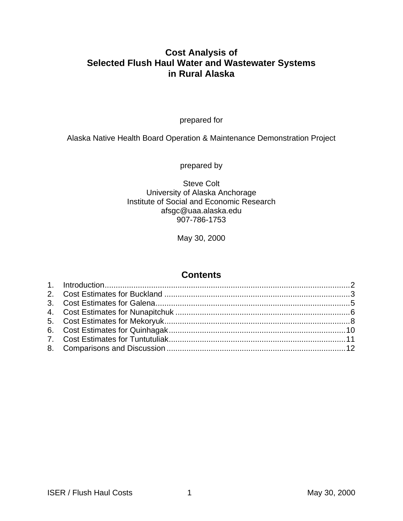## **Cost Analysis of Selected Flush Haul Water and Wastewater Systems in Rural Alaska**

prepared for

Alaska Native Health Board Operation & Maintenance Demonstration Project

prepared by

Steve Colt University of Alaska Anchorage Institute of Social and Economic Research afsgc@uaa.alaska.edu 907-786-1753

May 30, 2000

### **Contents**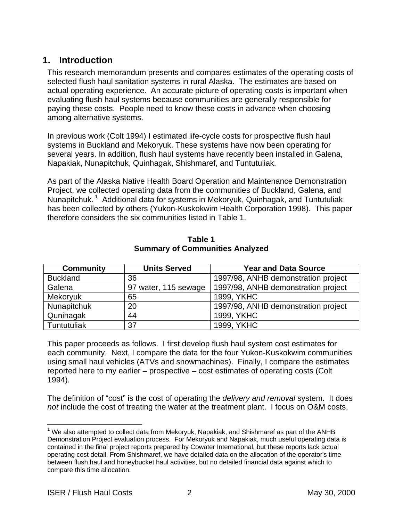## **1. Introduction**

This research memorandum presents and compares estimates of the operating costs of selected flush haul sanitation systems in rural Alaska. The estimates are based on actual operating experience. An accurate picture of operating costs is important when evaluating flush haul systems because communities are generally responsible for paying these costs. People need to know these costs in advance when choosing among alternative systems.

In previous work (Colt 1994) I estimated life-cycle costs for prospective flush haul systems in Buckland and Mekoryuk. These systems have now been operating for several years. In addition, flush haul systems have recently been installed in Galena, Napakiak, Nunapitchuk, Quinhagak, Shishmaref, and Tuntutuliak.

As part of the Alaska Native Health Board Operation and Maintenance Demonstration Project, we collected operating data from the communities of Buckland, Galena, and Nunapitchuk.<sup>1</sup> Additional data for systems in Mekoryuk, Quinhagak, and Tuntutuliak has been collected by others (Yukon-Kuskokwim Health Corporation 1998). This paper therefore considers the six communities listed in Table 1.

| <b>Community</b> | <b>Units Served</b>  | <b>Year and Data Source</b>         |
|------------------|----------------------|-------------------------------------|
| <b>Buckland</b>  | 36                   | 1997/98, ANHB demonstration project |
| Galena           | 97 water, 115 sewage | 1997/98, ANHB demonstration project |
| <b>Mekoryuk</b>  | 65                   | 1999, YKHC                          |
| Nunapitchuk      | 20                   | 1997/98, ANHB demonstration project |
| Qunihagak        | 44                   | 1999, YKHC                          |
| Tuntutuliak      | 37                   | 1999, YKHC                          |

**Table 1 Summary of Communities Analyzed**

This paper proceeds as follows. I first develop flush haul system cost estimates for each community. Next, I compare the data for the four Yukon-Kuskokwim communities using small haul vehicles (ATVs and snowmachines). Finally, I compare the estimates reported here to my earlier – prospective – cost estimates of operating costs (Colt 1994).

The definition of "cost" is the cost of operating the *delivery and removal* system. It does *not* include the cost of treating the water at the treatment plant. I focus on O&M costs,

<sup>1</sup>  $1$  We also attempted to collect data from Mekoryuk, Napakiak, and Shishmaref as part of the ANHB Demonstration Project evaluation process. For Mekoryuk and Napakiak, much useful operating data is contained in the final project reports prepared by Cowater International, but these reports lack actual operating cost detail. From Shishmaref, we have detailed data on the allocation of the operator's time between flush haul and honeybucket haul activities, but no detailed financial data against which to compare this time allocation.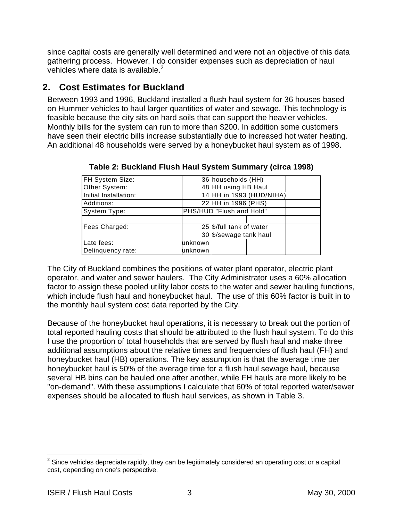since capital costs are generally well determined and were not an objective of this data gathering process. However, I do consider expenses such as depreciation of haul vehicles where data is available. $2$ 

# **2. Cost Estimates for Buckland**

Between 1993 and 1996, Buckland installed a flush haul system for 36 houses based on Hummer vehicles to haul larger quantities of water and sewage. This technology is feasible because the city sits on hard soils that can support the heavier vehicles. Monthly bills for the system can run to more than \$200. In addition some customers have seen their electric bills increase substantially due to increased hot water heating. An additional 48 households were served by a honeybucket haul system as of 1998.

| FH System Size:       |          | 36 households (HH)         |                          |  |  |  |
|-----------------------|----------|----------------------------|--------------------------|--|--|--|
| Other System:         |          |                            | 48 HH using HB Haul      |  |  |  |
| Initial Installation: |          |                            | 14 HH in 1993 (HUD/NIHA) |  |  |  |
| Additions:            |          | 22 HH in 1996 (PHS)        |                          |  |  |  |
| System Type:          |          | PHS/HUD "Flush and Hold"   |                          |  |  |  |
|                       |          |                            |                          |  |  |  |
| Fees Charged:         |          | $25$ \$/full tank of water |                          |  |  |  |
|                       |          | 30 \$/sewage tank haul     |                          |  |  |  |
| Late fees:            | lunknown |                            |                          |  |  |  |
| Delinquency rate:     | unknown  |                            |                          |  |  |  |
|                       |          |                            |                          |  |  |  |

**Table 2: Buckland Flush Haul System Summary (circa 1998)**

The City of Buckland combines the positions of water plant operator, electric plant operator, and water and sewer haulers. The City Administrator uses a 60% allocation factor to assign these pooled utility labor costs to the water and sewer hauling functions, which include flush haul and honeybucket haul. The use of this 60% factor is built in to the monthly haul system cost data reported by the City.

Because of the honeybucket haul operations, it is necessary to break out the portion of total reported hauling costs that should be attributed to the flush haul system. To do this I use the proportion of total households that are served by flush haul and make three additional assumptions about the relative times and frequencies of flush haul (FH) and honeybucket haul (HB) operations. The key assumption is that the average time per honeybucket haul is 50% of the average time for a flush haul sewage haul, because several HB bins can be hauled one after another, while FH hauls are more likely to be "on-demand". With these assumptions I calculate that 60% of total reported water/sewer expenses should be allocated to flush haul services, as shown in Table 3.

 2 Since vehicles depreciate rapidly, they can be legitimately considered an operating cost or a capital cost, depending on one's perspective.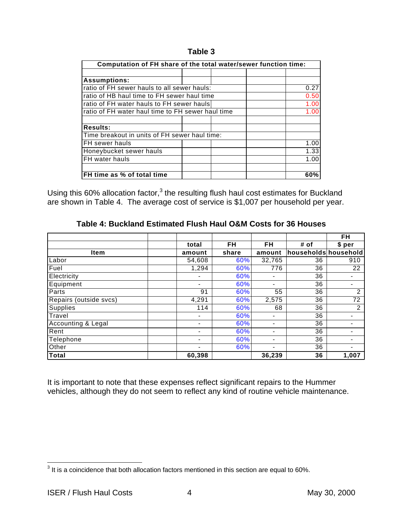#### **Table 3**

| Computation of FH share of the total water/sewer function time: |  |  |  |      |  |
|-----------------------------------------------------------------|--|--|--|------|--|
|                                                                 |  |  |  |      |  |
| <b>Assumptions:</b>                                             |  |  |  |      |  |
| ratio of FH sewer hauls to all sewer hauls:                     |  |  |  | 0.27 |  |
| ratio of HB haul time to FH sewer haul time                     |  |  |  | 0.50 |  |
| ratio of FH water hauls to FH sewer hauls                       |  |  |  | 1.00 |  |
| ratio of FH water haul time to FH sewer haul time               |  |  |  | 1.00 |  |
|                                                                 |  |  |  |      |  |
| <b>Results:</b>                                                 |  |  |  |      |  |
| Time breakout in units of FH sewer haul time:                   |  |  |  |      |  |
| FH sewer hauls                                                  |  |  |  | 1.00 |  |
| Honeybucket sewer hauls                                         |  |  |  | 1.33 |  |
| FH water hauls                                                  |  |  |  | 1.00 |  |
|                                                                 |  |  |  |      |  |
| FH time as % of total time                                      |  |  |  | 60%  |  |

Using this 60% allocation factor, $3$  the resulting flush haul cost estimates for Buckland are shown in Table 4. The average cost of service is \$1,007 per household per year.

|                        |                          |       |                          |                      | FH             |
|------------------------|--------------------------|-------|--------------------------|----------------------|----------------|
|                        | total                    | FH    | FH                       | # of                 | \$ per         |
| <b>Item</b>            | amount                   | share | amount                   | households household |                |
| Labor                  | 54,608                   | 60%   | 32,765                   | 36                   | 910            |
| Fuel                   | 1,294                    | 60%   | 776                      | 36                   | 22             |
| Electricity            |                          | 60%   | $\overline{\phantom{a}}$ | 36                   |                |
| Equipment              | -                        | 60%   | -                        | 36                   |                |
| Parts                  | 91                       | 60%   | 55                       | 36                   | $\overline{2}$ |
| Repairs (outside svcs) | 4,291                    | 60%   | 2,575                    | 36                   | 72             |
| Supplies               | 114                      | 60%   | 68                       | 36                   | 2              |
| Travel                 |                          | 60%   | $\overline{\phantom{0}}$ | 36                   |                |
| Accounting & Legal     | $\overline{\phantom{0}}$ | 60%   | $\overline{\phantom{a}}$ | 36                   |                |
| Rent                   |                          | 60%   | $\blacksquare$           | 36                   |                |
| Telephone              |                          | 60%   | $\overline{\phantom{0}}$ | 36                   |                |
| Other                  |                          | 60%   | $\overline{\phantom{0}}$ | 36                   |                |
| <b>Total</b>           | 60,398                   |       | 36.239                   | 36                   | 1,007          |

**Table 4: Buckland Estimated Flush Haul O&M Costs for 36 Houses**

It is important to note that these expenses reflect significant repairs to the Hummer vehicles, although they do not seem to reflect any kind of routine vehicle maintenance.

 3 It is a coincidence that both allocation factors mentioned in this section are equal to 60%.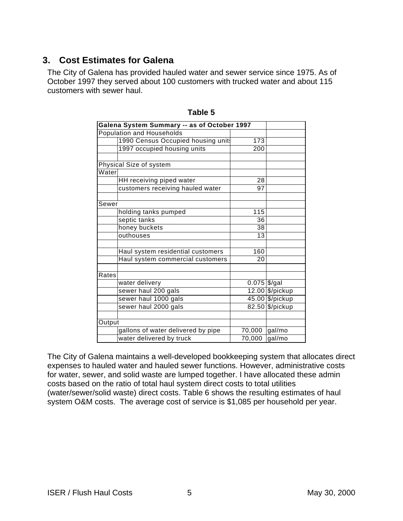# **3. Cost Estimates for Galena**

The City of Galena has provided hauled water and sewer service since 1975. As of October 1997 they served about 100 customers with trucked water and about 115 customers with sewer haul.

|        | Galena System Summary -- as of October 1997 |                           |                 |
|--------|---------------------------------------------|---------------------------|-----------------|
|        | Population and Households                   |                           |                 |
|        | 1990 Census Occupied housing unit           | 173                       |                 |
|        | 1997 occupied housing units                 | 200                       |                 |
|        |                                             |                           |                 |
|        | Physical Size of system                     |                           |                 |
| Water  |                                             |                           |                 |
|        | HH receiving piped water                    | 28                        |                 |
|        | customers receiving hauled water            | 97                        |                 |
|        |                                             |                           |                 |
| Sewer  |                                             |                           |                 |
|        | holding tanks pumped                        | 115                       |                 |
|        | septic tanks                                | 36                        |                 |
|        | honey buckets                               | 38                        |                 |
|        | outhouses                                   | 13                        |                 |
|        |                                             |                           |                 |
|        | Haul system residential customers           | 160                       |                 |
|        | Haul system commercial customers            | 20                        |                 |
|        |                                             |                           |                 |
| Rates  |                                             |                           |                 |
|        | water delivery                              | $\overline{0.075}$ \$/gal |                 |
|        | sewer haul 200 gals                         |                           | 12.00 \$/pickup |
|        | sewer haul 1000 gals                        |                           | 45.00 \$/pickup |
|        | sewer haul 2000 gals                        |                           | 82.50 \$/pickup |
|        |                                             |                           |                 |
| Output |                                             |                           |                 |
|        | gallons of water delivered by pipe          | 70,000                    | gal/mo          |
|        | water delivered by truck                    | 70,000                    | gal/mo          |

**Table 5**

The City of Galena maintains a well-developed bookkeeping system that allocates direct expenses to hauled water and hauled sewer functions. However, administrative costs for water, sewer, and solid waste are lumped together. I have allocated these admin costs based on the ratio of total haul system direct costs to total utilities (water/sewer/solid waste) direct costs. Table 6 shows the resulting estimates of haul system O&M costs. The average cost of service is \$1,085 per household per year.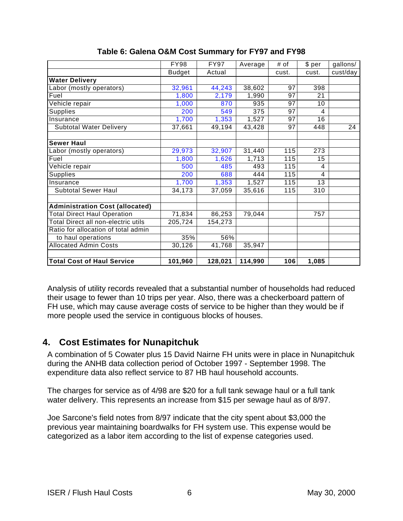|                                        | <b>FY98</b>   | <b>FY97</b> | Average | # of  | \$ per         | gallons/ |
|----------------------------------------|---------------|-------------|---------|-------|----------------|----------|
|                                        | <b>Budget</b> | Actual      |         | cust. | cust.          | cust/day |
| <b>Water Delivery</b>                  |               |             |         |       |                |          |
| Labor (mostly operators)               | 32,961        | 44,243      | 38,602  | 97    | 398            |          |
| Fuel                                   | 1,800         | 2,179       | 1,990   | 97    | 21             |          |
| Vehicle repair                         | 1,000         | 870         | 935     | 97    | 10             |          |
| Supplies                               | 200           | 549         | 375     | 97    | 4              |          |
| Insurance                              | 1,700         | 1,353       | 1,527   | 97    | 16             |          |
| <b>Subtotal Water Delivery</b>         | 37,661        | 49,194      | 43,428  | 97    | 448            | 24       |
|                                        |               |             |         |       |                |          |
| <b>Sewer Haul</b>                      |               |             |         |       |                |          |
| Labor (mostly operators)               | 29,973        | 32,907      | 31,440  | 115   | 273            |          |
| Fuel                                   | 1,800         | 1,626       | 1,713   | 115   | 15             |          |
| Vehicle repair                         | 500           | 485         | 493     | 115   | 4              |          |
| <b>Supplies</b>                        | 200           | 688         | 444     | 115   | $\overline{4}$ |          |
| Insurance                              | 1,700         | 1,353       | 1,527   | 115   | 13             |          |
| Subtotal Sewer Haul                    | 34,173        | 37,059      | 35,616  | 115   | 310            |          |
|                                        |               |             |         |       |                |          |
| <b>Administration Cost (allocated)</b> |               |             |         |       |                |          |
| <b>Total Direct Haul Operation</b>     | 71,834        | 86,253      | 79,044  |       | 757            |          |
| Total Direct all non-electric utils    | 205,724       | 154,273     |         |       |                |          |
| Ratio for allocation of total admin    |               |             |         |       |                |          |
| to haul operations                     | 35%           | 56%         |         |       |                |          |
| <b>Allocated Admin Costs</b>           | 30,126        | 41,768      | 35,947  |       |                |          |
|                                        |               |             |         |       |                |          |
| <b>Total Cost of Haul Service</b>      | 101,960       | 128,021     | 114,990 | 106   | 1,085          |          |

### **Table 6: Galena O&M Cost Summary for FY97 and FY98**

Analysis of utility records revealed that a substantial number of households had reduced their usage to fewer than 10 trips per year. Also, there was a checkerboard pattern of FH use, which may cause average costs of service to be higher than they would be if more people used the service in contiguous blocks of houses.

## **4. Cost Estimates for Nunapitchuk**

A combination of 5 Cowater plus 15 David Nairne FH units were in place in Nunapitchuk during the ANHB data collection period of October 1997 - September 1998. The expenditure data also reflect service to 87 HB haul household accounts.

The charges for service as of 4/98 are \$20 for a full tank sewage haul or a full tank water delivery. This represents an increase from \$15 per sewage haul as of 8/97.

Joe Sarcone's field notes from 8/97 indicate that the city spent about \$3,000 the previous year maintaining boardwalks for FH system use. This expense would be categorized as a labor item according to the list of expense categories used.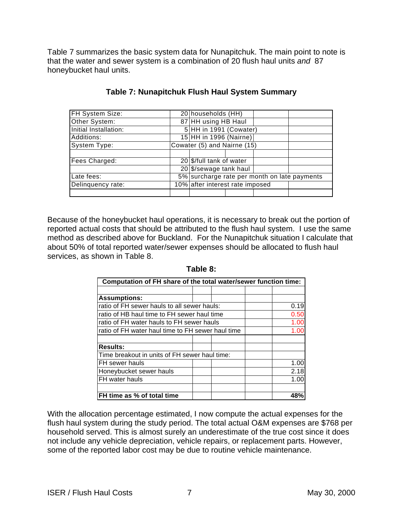Table 7 summarizes the basic system data for Nunapitchuk. The main point to note is that the water and sewer system is a combination of 20 flush haul units *and* 87 honeybucket haul units.

| FH System Size:       |                                              | 20 households (HH)     |  |  |  |
|-----------------------|----------------------------------------------|------------------------|--|--|--|
| Other System:         |                                              | 87 HH using HB Haul    |  |  |  |
| Initial Installation: |                                              | 5 HH in 1991 (Cowater) |  |  |  |
| Additions:            | 15 HH in 1996 (Nairne)                       |                        |  |  |  |
| System Type:          | Cowater (5) and Nairne (15)                  |                        |  |  |  |
|                       |                                              |                        |  |  |  |
| Fees Charged:         | 20   \$/full tank of water                   |                        |  |  |  |
|                       | 20 \$/sewage tank haul                       |                        |  |  |  |
| Late fees:            | 5% surcharge rate per month on late payments |                        |  |  |  |
| Delinquency rate:     | 10% after interest rate imposed              |                        |  |  |  |
|                       |                                              |                        |  |  |  |

### **Table 7: Nunapitchuk Flush Haul System Summary**

Because of the honeybucket haul operations, it is necessary to break out the portion of reported actual costs that should be attributed to the flush haul system. I use the same method as described above for Buckland. For the Nunapitchuk situation I calculate that about 50% of total reported water/sewer expenses should be allocated to flush haul services, as shown in Table 8.

| Computation of FH share of the total water/sewer function time: |  |  |  |      |  |
|-----------------------------------------------------------------|--|--|--|------|--|
|                                                                 |  |  |  |      |  |
| <b>Assumptions:</b>                                             |  |  |  |      |  |
| ratio of FH sewer hauls to all sewer hauls:                     |  |  |  | 0.19 |  |
| ratio of HB haul time to FH sewer haul time                     |  |  |  | 0.50 |  |
| ratio of FH water hauls to FH sewer hauls                       |  |  |  | 1.00 |  |
| ratio of FH water haul time to FH sewer haul time               |  |  |  | 1.00 |  |
|                                                                 |  |  |  |      |  |
| <b>Results:</b>                                                 |  |  |  |      |  |
| Time breakout in units of FH sewer haul time:                   |  |  |  |      |  |
| FH sewer hauls                                                  |  |  |  | 1.00 |  |
| Honeybucket sewer hauls                                         |  |  |  | 2.18 |  |
| FH water hauls                                                  |  |  |  | 1.00 |  |
|                                                                 |  |  |  |      |  |
| FH time as % of total time                                      |  |  |  |      |  |

#### **Table 8:**

With the allocation percentage estimated, I now compute the actual expenses for the flush haul system during the study period. The total actual O&M expenses are \$768 per household served. This is almost surely an underestimate of the true cost since it does not include any vehicle depreciation, vehicle repairs, or replacement parts. However, some of the reported labor cost may be due to routine vehicle maintenance.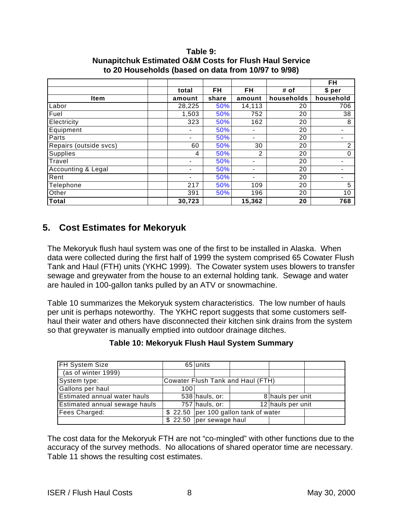#### **Table 9: Nunapitchuk Estimated O&M Costs for Flush Haul Service to 20 Households (based on data from 10/97 to 9/98)**

|                        |                          |       |                          |            | <b>FH</b>                    |
|------------------------|--------------------------|-------|--------------------------|------------|------------------------------|
|                        | total                    | FH    | FH                       | # of       | \$ per                       |
| <b>Item</b>            | amount                   | share | amount                   | households | household                    |
| Labor                  | 28,225                   | 50%   | 14,113                   | 20         | 706                          |
| Fuel                   | 1,503                    | 50%   | 752                      | 20         | 38                           |
| Electricity            | 323                      | 50%   | 162                      | 20         | 8                            |
| Equipment              |                          | 50%   |                          | 20         |                              |
| Parts                  | $\overline{\phantom{0}}$ | 50%   | -                        | 20         | $\qquad \qquad \blacksquare$ |
| Repairs (outside svcs) | 60                       | 50%   | 30                       | 20         | 2                            |
| <b>Supplies</b>        | 4                        | 50%   | 2                        | 20         | 0                            |
| Travel                 | -                        | 50%   | $\overline{\phantom{0}}$ | 20         |                              |
| Accounting & Legal     |                          | 50%   |                          | 20         |                              |
| Rent                   |                          | 50%   |                          | 20         |                              |
| Telephone              | 217                      | 50%   | 109                      | 20         | 5                            |
| Other                  | 391                      | 50%   | 196                      | 20         | 10                           |
| Total                  | 30,723                   |       | 15,362                   | 20         | 768                          |

# **5. Cost Estimates for Mekoryuk**

The Mekoryuk flush haul system was one of the first to be installed in Alaska. When data were collected during the first half of 1999 the system comprised 65 Cowater Flush Tank and Haul (FTH) units (YKHC 1999). The Cowater system uses blowers to transfer sewage and greywater from the house to an external holding tank. Sewage and water are hauled in 100-gallon tanks pulled by an ATV or snowmachine.

Table 10 summarizes the Mekoryuk system characteristics. The low number of hauls per unit is perhaps noteworthy. The YKHC report suggests that some customers selfhaul their water and others have disconnected their kitchen sink drains from the system so that greywater is manually emptied into outdoor drainage ditches.

| Table 10: Mekoryuk Flush Haul System Summary |  |
|----------------------------------------------|--|
|                                              |  |

| <b>FH System Size</b>               |                                   | 65 units                               |  |                   |  |
|-------------------------------------|-----------------------------------|----------------------------------------|--|-------------------|--|
| (as of winter 1999)                 |                                   |                                        |  |                   |  |
| System type:                        | Cowater Flush Tank and Haul (FTH) |                                        |  |                   |  |
| Gallons per haul                    | 100                               |                                        |  |                   |  |
| <b>Estimated annual water hauls</b> |                                   | $538$ hauls, or:                       |  | 8 hauls per unit  |  |
| Estimated annual sewage hauls       |                                   | $757$ hauls, or:                       |  | 12 hauls per unit |  |
| Fees Charged:                       |                                   | \$22.50   per 100 gallon tank of water |  |                   |  |
|                                     |                                   | \$22.50 per sewage haul                |  |                   |  |

The cost data for the Mekoryuk FTH are not "co-mingled" with other functions due to the accuracy of the survey methods. No allocations of shared operator time are necessary. Table 11 shows the resulting cost estimates.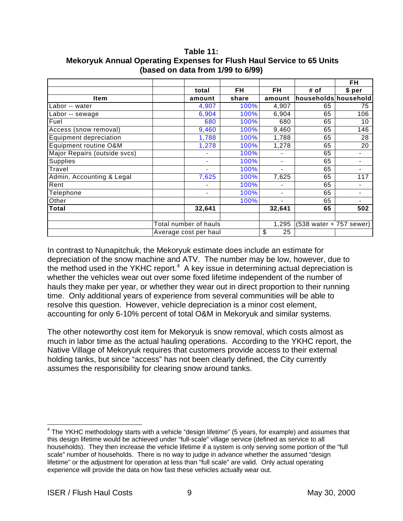|                               |                       |           |                          |                         | FH     |
|-------------------------------|-----------------------|-----------|--------------------------|-------------------------|--------|
|                               | total                 | <b>FH</b> | FH                       | # of                    | \$ per |
| Item                          | amount                | share     | amount                   | households household    |        |
| Labor -- water                | 4,907                 | 100%      | 4,907                    | 65                      | 75     |
| Labor -- sewage               | 6,904                 | 100%      | 6,904                    | 65                      | 106    |
| Fuel                          | 680                   | 100%      | 680                      | 65                      | 10     |
| Access (snow removal)         | 9,460                 | 100%      | 9,460                    | 65                      | 146    |
| <b>Equipment depreciation</b> | 1,788                 | 100%      | 1,788                    | 65                      | 28     |
| Equipment routine O&M         | 1,278                 | 100%      | 1,278                    | 65                      | 20     |
| Major Repairs (outside svcs)  |                       | 100%      |                          | 65                      |        |
| <b>Supplies</b>               |                       | 100%      |                          | 65                      |        |
| Travel                        | $\blacksquare$        | 100%      | $\overline{\phantom{a}}$ | 65                      |        |
| Admin, Accounting & Legal     | 7,625                 | 100%      | 7,625                    | 65                      | 117    |
| Rent                          | $\blacksquare$        | 100%      |                          | 65                      |        |
| Telephone                     | ۰                     | 100%      | $\overline{\phantom{a}}$ | 65                      |        |
| Other                         |                       | 100%      |                          | 65                      |        |
| <b>Total</b>                  | 32,641                |           | 32,641                   | 65                      | 502    |
|                               |                       |           |                          |                         |        |
|                               | Total number of hauls |           | 1,295                    | (538 water + 757 sewer) |        |
|                               | Average cost per haul |           | \$<br>25                 |                         |        |

**Table 11: Mekoryuk Annual Operating Expenses for Flush Haul Service to 65 Units (based on data from 1/99 to 6/99)**

In contrast to Nunapitchuk, the Mekoryuk estimate does include an estimate for depreciation of the snow machine and ATV. The number may be low, however, due to the method used in the YKHC report. $4\,$  A key issue in determining actual depreciation is whether the vehicles wear out over some fixed lifetime independent of the number of hauls they make per year, or whether they wear out in direct proportion to their running time. Only additional years of experience from several communities will be able to resolve this question. However, vehicle depreciation is a minor cost element, accounting for only 6-10% percent of total O&M in Mekoryuk and similar systems.

The other noteworthy cost item for Mekoryuk is snow removal, which costs almost as much in labor time as the actual hauling operations. According to the YKHC report, the Native Village of Mekoryuk requires that customers provide access to their external holding tanks, but since "access" has not been clearly defined, the City currently assumes the responsibility for clearing snow around tanks.

<sup>1</sup>  $4$  The YKHC methodology starts with a vehicle "design lifetime" (5 years, for example) and assumes that this design lifetime would be achieved under "full-scale" village service (defined as service to all households). They then increase the vehicle lifetime if a system is only serving some portion of the "full scale" number of households. There is no way to judge in advance whether the assumed "design lifetime" or the adjustment for operation at less than "full scale" are valid. Only actual operating experience will provide the data on how fast these vehicles actually wear out.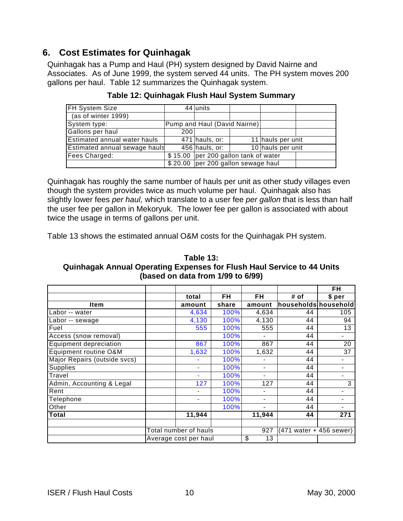# **6. Cost Estimates for Quinhagak**

Quinhagak has a Pump and Haul (PH) system designed by David Nairne and Associates. As of June 1999, the system served 44 units. The PH system moves 200 gallons per haul. Table 12 summarizes the Quinhagak system.

| <b>FH System Size</b>         |     | 44 units                             |  |                   |  |
|-------------------------------|-----|--------------------------------------|--|-------------------|--|
| (as of winter 1999)           |     |                                      |  |                   |  |
| System type:                  |     | Pump and Haul (David Nairne)         |  |                   |  |
| Gallons per haul              | 200 |                                      |  |                   |  |
| Estimated annual water hauls  |     | $471$ hauls, or:                     |  | 11 hauls per unit |  |
| Estimated annual sewage hauls |     | $456$ hauls, or:                     |  | 10 hauls per unit |  |
| Fees Charged:                 |     | \$15.00 per 200 gallon tank of water |  |                   |  |
|                               |     | $$20.00$ per 200 gallon sewage haul  |  |                   |  |

**Table 12: Quinhagak Flush Haul System Summary**

Quinhagak has roughly the same number of hauls per unit as other study villages even though the system provides twice as much volume per haul. Quinhagak also has slightly lower fees *per haul,* which translate to a user fee *per gallon* that is less than half the user fee per gallon in Mekoryuk. The lower fee per gallon is associated with about twice the usage in terms of gallons per unit.

Table 13 shows the estimated annual O&M costs for the Quinhagak PH system.

**Table 13: Quinhagak Annual Operating Expenses for Flush Haul Service to 44 Units (based on data from 1/99 to 6/99)**

|                              |                       |                       |       |                |                                            | FH                           |
|------------------------------|-----------------------|-----------------------|-------|----------------|--------------------------------------------|------------------------------|
|                              |                       | total                 | FH    | FH             | # of                                       | \$ per                       |
| <b>Item</b>                  |                       | amount                | share | amount         | households household                       |                              |
| Labor -- water               |                       | 4,634                 | 100%  | 4,634          | 44                                         | 105                          |
| Labor -- sewage              |                       | 4,130                 | 100%  | 4,130          | 44                                         | 94                           |
| Fuel                         |                       | 555                   | 100%  | 555            | 44                                         | 13                           |
| Access (snow removal)        |                       |                       | 100%  |                | 44                                         | $\qquad \qquad \blacksquare$ |
| Equipment depreciation       |                       | 867                   | 100%  | 867            | 44                                         | 20                           |
| Equipment routine O&M        |                       | 1,632                 | 100%  | 1,632          | 44                                         | 37                           |
| Major Repairs (outside svcs) |                       |                       | 100%  |                | 44                                         |                              |
| Supplies                     |                       |                       | 100%  | $\blacksquare$ | 44                                         |                              |
| Travel                       |                       |                       | 100%  |                | 44                                         | -                            |
| Admin, Accounting & Legal    |                       | 127                   | 100%  | 127            | 44                                         | 3                            |
| Rent                         |                       |                       | 100%  |                | 44                                         |                              |
| Telephone                    |                       |                       | 100%  | $\blacksquare$ | 44                                         | -                            |
| Other                        |                       |                       | 100%  | $\blacksquare$ | 44                                         | $\qquad \qquad \blacksquare$ |
| <b>Total</b>                 |                       | 11,944                |       | 11,944         | 44                                         | 271                          |
|                              |                       |                       |       |                |                                            |                              |
|                              |                       | Total number of hauls |       | 927            | $(471 \text{ water} + 456 \text{ severe})$ |                              |
|                              | Average cost per haul |                       |       | \$<br>13       |                                            |                              |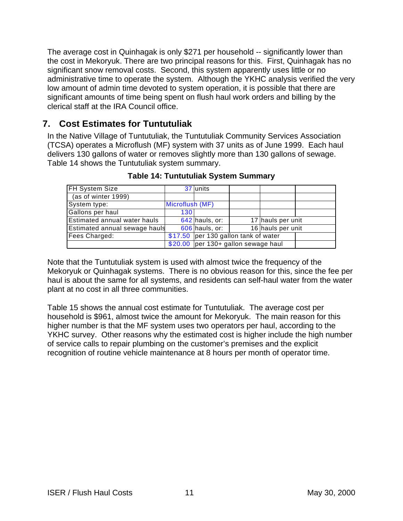The average cost in Quinhagak is only \$271 per household -- significantly lower than the cost in Mekoryuk. There are two principal reasons for this. First, Quinhagak has no significant snow removal costs. Second, this system apparently uses little or no administrative time to operate the system. Although the YKHC analysis verified the very low amount of admin time devoted to system operation, it is possible that there are significant amounts of time being spent on flush haul work orders and billing by the clerical staff at the IRA Council office.

# **7. Cost Estimates for Tuntutuliak**

In the Native Village of Tuntutuliak, the Tuntutuliak Community Services Association (TCSA) operates a Microflush (MF) system with 37 units as of June 1999. Each haul delivers 130 gallons of water or removes slightly more than 130 gallons of sewage. Table 14 shows the Tuntutuliak system summary.

| FH System Size                      |                 | 37 units                              |  |                   |  |
|-------------------------------------|-----------------|---------------------------------------|--|-------------------|--|
| (as of winter 1999)                 |                 |                                       |  |                   |  |
| System type:                        | Microflush (MF) |                                       |  |                   |  |
| Gallons per haul                    | 130             |                                       |  |                   |  |
| <b>Estimated annual water hauls</b> |                 | $642$ hauls, or:                      |  | 17 hauls per unit |  |
| Estimated annual sewage hauls       |                 | $606$ hauls, or:                      |  | 16 hauls per unit |  |
| Fees Charged:                       |                 | $$17.50$ per 130 gallon tank of water |  |                   |  |
|                                     |                 | $$20.00$ per 130+ gallon sewage haul  |  |                   |  |

**Table 14: Tuntutuliak System Summary**

Note that the Tuntutuliak system is used with almost twice the frequency of the Mekoryuk or Quinhagak systems. There is no obvious reason for this, since the fee per haul is about the same for all systems, and residents can self-haul water from the water plant at no cost in all three communities.

Table 15 shows the annual cost estimate for Tuntutuliak. The average cost per household is \$961, almost twice the amount for Mekoryuk. The main reason for this higher number is that the MF system uses two operators per haul, according to the YKHC survey. Other reasons why the estimated cost is higher include the high number of service calls to repair plumbing on the customer's premises and the explicit recognition of routine vehicle maintenance at 8 hours per month of operator time.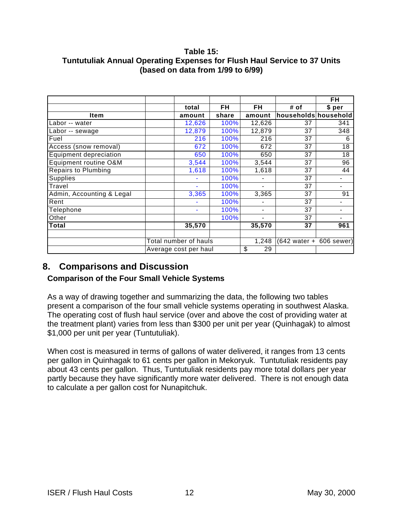### **Table 15: Tuntutuliak Annual Operating Expenses for Flush Haul Service to 37 Units (based on data from 1/99 to 6/99)**

|                            |                       |                       |       |                          |                                            | FH             |
|----------------------------|-----------------------|-----------------------|-------|--------------------------|--------------------------------------------|----------------|
|                            |                       | total                 | FH    | FH                       | # of                                       | \$ per         |
| <b>Item</b>                |                       | amount                | share | amount                   | households household                       |                |
| Labor -- water             |                       | 12,626                | 100%  | 12,626                   | 37                                         | 341            |
| Labor -- sewage            |                       | 12,879                | 100%  | 12,879                   | 37                                         | 348            |
| Fuel                       |                       | 216                   | 100%  | 216                      | 37                                         | 6              |
| Access (snow removal)      |                       | 672                   | 100%  | 672                      | 37                                         | 18             |
| Equipment depreciation     |                       | 650                   | 100%  | 650                      | 37                                         | 18             |
| Equipment routine O&M      |                       | 3,544                 | 100%  | 3,544                    | 37                                         | 96             |
| <b>Repairs to Plumbing</b> |                       | 1,618                 | 100%  | 1,618                    | 37                                         | 44             |
| Supplies                   |                       | $\blacksquare$        | 100%  |                          | 37                                         |                |
| Travel                     |                       | ÷                     | 100%  |                          | 37                                         | $\blacksquare$ |
| Admin, Accounting & Legal  |                       | 3,365                 | 100%  | 3,365                    | 37                                         | 91             |
| Rent                       |                       |                       | 100%  |                          | 37                                         |                |
| Telephone                  |                       | $\blacksquare$        | 100%  | $\overline{\phantom{0}}$ | 37                                         | $\blacksquare$ |
| Other                      |                       |                       | 100%  |                          | 37                                         |                |
| <b>Total</b>               |                       | 35,570                |       | 35,570                   | 37                                         | 961            |
|                            |                       |                       |       |                          |                                            |                |
|                            | Total number of hauls |                       |       | 1,248                    | $(642 \text{ water} + 606 \text{ severe})$ |                |
|                            |                       | Average cost per haul |       | \$<br>29                 |                                            |                |

# **8. Comparisons and Discussion**

### **Comparison of the Four Small Vehicle Systems**

As a way of drawing together and summarizing the data, the following two tables present a comparison of the four small vehicle systems operating in southwest Alaska. The operating cost of flush haul service (over and above the cost of providing water at the treatment plant) varies from less than \$300 per unit per year (Quinhagak) to almost \$1,000 per unit per year (Tuntutuliak).

When cost is measured in terms of gallons of water delivered, it ranges from 13 cents per gallon in Quinhagak to 61 cents per gallon in Mekoryuk. Tuntutuliak residents pay about 43 cents per gallon. Thus, Tuntutuliak residents pay more total dollars per year partly because they have significantly more water delivered. There is not enough data to calculate a per gallon cost for Nunapitchuk.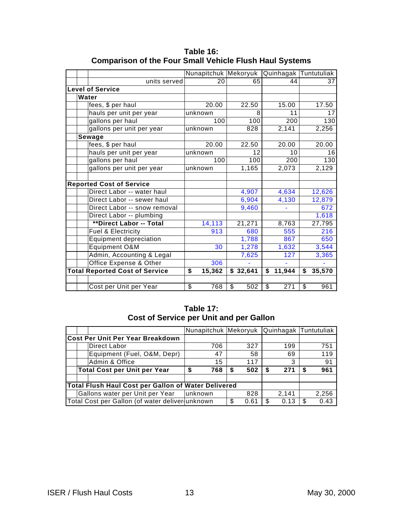|                                       | Nunapitchuk Mekoryuk |           |              | Quinhagak Tuntutuliak |
|---------------------------------------|----------------------|-----------|--------------|-----------------------|
| units served                          | 20                   | 65        | 44           | 37                    |
| <b>Level of Service</b>               |                      |           |              |                       |
| Water                                 |                      |           |              |                       |
| fees, \$ per haul                     | 20.00                | 22.50     | 15.00        | 17.50                 |
| hauls per unit per year               | unknown              | 8         | 11           | 17                    |
| gallons per haul                      | 100                  | 100       | 200          | 130                   |
| gallons per unit per year             | unknown              | 828       | 2,141        | 2,256                 |
| Sewage                                |                      |           |              |                       |
| fees, \$ per haul                     | 20.00                | 22.50     | 20.00        | 20.00                 |
| hauls per unit per year               | unknown              | 12        | 10           | 16                    |
| gallons per haul                      | 100                  | 100       | 200          | 130                   |
| gallons per unit per year             | unknown              | 1,165     | 2,073        | 2,129                 |
|                                       |                      |           |              |                       |
| <b>Reported Cost of Service</b>       |                      |           |              |                       |
| Direct Labor -- water haul            |                      | 4,907     | 4,634        | 12,626                |
| Direct Labor -- sewer haul            |                      | 6,904     | 4,130        | 12,879                |
| Direct Labor -- snow removal          |                      | 9,460     |              | 672                   |
| Direct Labor -- plumbing              |                      |           |              | 1,618                 |
| **Direct Labor -- Total               | 14,113               | 21,271    | 8,763        | 27,795                |
| <b>Fuel &amp; Electricity</b>         | 913                  | 680       | 555          | 216                   |
| <b>Equipment depreciation</b>         |                      | 1,788     | 867          | 650                   |
| Equipment O&M                         | 30                   | 1,278     | 1,632        | 3,544                 |
| Admin, Accounting & Legal             |                      | 7,625     | 127          | 3,365                 |
| Office Expense & Other                | 306                  |           |              |                       |
| <b>Total Reported Cost of Service</b> | \$<br>15,362         | \$32,641  | \$<br>11,944 | \$<br>35,570          |
|                                       |                      |           |              |                       |
| Cost per Unit per Year                | \$<br>768            | \$<br>502 | \$<br>271    | \$<br>961             |

**Table 16: Comparison of the Four Small Vehicle Flush Haul Systems**

### **Table 17: Cost of Service per Unit and per Gallon**

|                                         |                                                     | Nunapitchuk   Mekoryuk |           |             | Quinhagak  Tuntutuliak |
|-----------------------------------------|-----------------------------------------------------|------------------------|-----------|-------------|------------------------|
| <b>Cost Per Unit Per Year Breakdown</b> |                                                     |                        |           |             |                        |
|                                         | <b>Direct Labor</b>                                 | 706                    | 327       | 199         | 751                    |
|                                         | Equipment (Fuel, O&M, Depr)                         | 47                     | 58        | 69          | 119                    |
|                                         | Admin & Office                                      | 15                     | 117       | 3           | 91                     |
|                                         | <b>Total Cost per Unit per Year</b>                 | 768<br>\$              | 502<br>\$ | 271<br>\$   | 961                    |
|                                         |                                                     |                        |           |             |                        |
|                                         | Total Flush Haul Cost per Gallon of Water Delivered |                        |           |             |                        |
|                                         | Gallons water per Unit per Year                     | lunknown               | 828       | 2,141       | 2,256                  |
|                                         | Total Cost per Gallon (of water deliver unknown     |                        | 0.61      | 0.13<br>\$. | 0.43<br>£.             |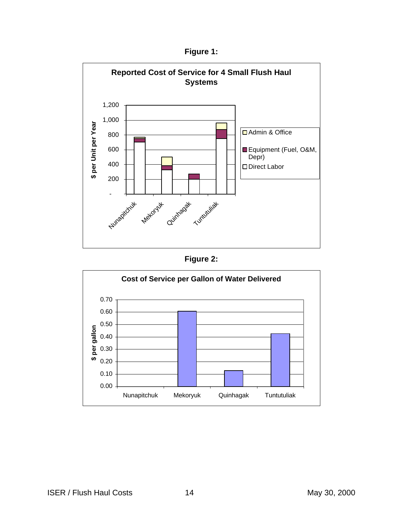**Figure 1:**